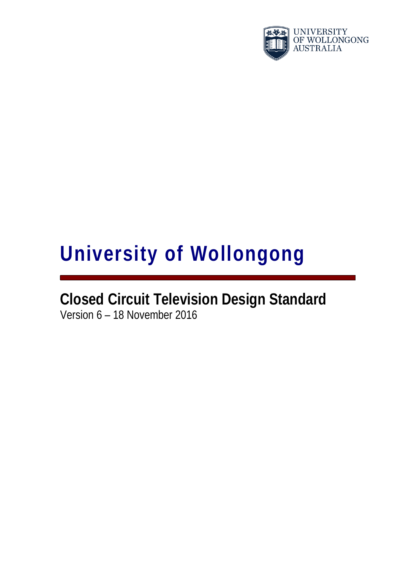

# **University of Wollongong**

# **Closed Circuit Television Design Standard** Version 6 – 18 November 2016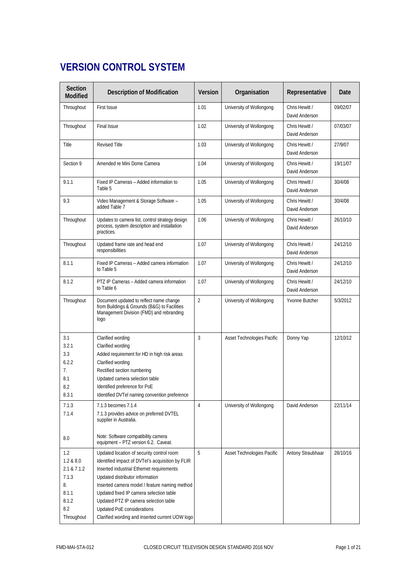# **VERSION CONTROL SYSTEM**

| Section<br>Modified                                                                   | <b>Description of Modification</b>                                                                                                                                                                                                                                                                                                                                                                  | Version        | Organisation               | Representative                   | <b>Date</b> |
|---------------------------------------------------------------------------------------|-----------------------------------------------------------------------------------------------------------------------------------------------------------------------------------------------------------------------------------------------------------------------------------------------------------------------------------------------------------------------------------------------------|----------------|----------------------------|----------------------------------|-------------|
| Throughout                                                                            | <b>First Issue</b>                                                                                                                                                                                                                                                                                                                                                                                  | 1.01           | University of Wollongong   | Chris Hewitt /<br>David Anderson | 09/02/07    |
| Throughout                                                                            | <b>Final Issue</b>                                                                                                                                                                                                                                                                                                                                                                                  | 1.02           | University of Wollongong   | Chris Hewitt /<br>David Anderson | 07/03/07    |
| Title                                                                                 | <b>Revised Title</b>                                                                                                                                                                                                                                                                                                                                                                                | 1.03           | University of Wollongong   | Chris Hewitt /<br>David Anderson | 27/9/07     |
| Section 9                                                                             | Amended re Mini Dome Camera                                                                                                                                                                                                                                                                                                                                                                         | 1.04           | University of Wollongong   | Chris Hewitt /<br>David Anderson | 19/11/07    |
| 9.1.1                                                                                 | Fixed IP Cameras - Added information to<br>Table 5                                                                                                                                                                                                                                                                                                                                                  | 1.05           | University of Wollongong   | Chris Hewitt /<br>David Anderson | 30/4/08     |
| 9.3                                                                                   | Video Management & Storage Software -<br>added Table 7                                                                                                                                                                                                                                                                                                                                              | 1.05           | University of Wollongong   | Chris Hewitt /<br>David Anderson | 30/4/08     |
| Throughout                                                                            | Updates to camera list, control strategy design<br>process, system description and installation<br>practices.                                                                                                                                                                                                                                                                                       | 1.06           | University of Wollongong   | Chris Hewitt /<br>David Anderson | 26/10/10    |
| Throughout                                                                            | Updated frame rate and head end<br>responsibilities                                                                                                                                                                                                                                                                                                                                                 | 1.07           | University of Wollongong   | Chris Hewitt /<br>David Anderson | 24/12/10    |
| 8.1.1                                                                                 | Fixed IP Cameras - Added camera information<br>to Table 5                                                                                                                                                                                                                                                                                                                                           | 1.07           | University of Wollongong   | Chris Hewitt /<br>David Anderson | 24/12/10    |
| 8.1.2                                                                                 | PTZ IP Cameras - Added camera information<br>to Table 6                                                                                                                                                                                                                                                                                                                                             | 1.07           | University of Wollongong   | Chris Hewitt /<br>David Anderson | 24/12/10    |
| Throughout                                                                            | Document updated to reflect name change<br>from Buildings & Grounds (B&G) to Facilities<br>Management Division (FMD) and rebranding<br>logo                                                                                                                                                                                                                                                         | $\overline{2}$ | University of Wollongong   | Yvonne Butcher                   | 5/3/2012    |
| 3.1<br>3.2.1<br>3.3<br>6.2.2<br>7.<br>8.1<br>8.2<br>8.3.1                             | Clarified wording<br>Clarified wording<br>Added requirement for HD in high risk areas<br>Clarified wording<br>Rectified section numbering<br>Updated camera selection table<br>Identified preference for PoE<br>Identified DVTel naming convention preference                                                                                                                                       | 3              | Asset Technologies Pacific | Donny Yap                        | 12/10/12    |
| 7.1.3<br>7.1.4<br>8.0                                                                 | 7.1.3 becomes 7.1.4<br>7.1.3 provides advice on preferred DVTEL<br>supplier in Australia.<br>Note: Software compatibility camera<br>equipment - PTZ version 6.2. Caveat.                                                                                                                                                                                                                            | 4              | University of Wollongong   | David Anderson                   | 22/11/14    |
| 1.2<br>1.2 & 8.0<br>2.1 & 7.1.2<br>7.1.3<br>8.<br>8.1.1<br>8.1.2<br>8.2<br>Throughout | Updated location of security control room<br>Identified impact of DVTel's acquisition by FLIR<br>Inserted industrial Ethernet requirements<br>Updated distributor information<br>Inserted camera model / feature naming method<br>Updated fixed IP camera selection table<br>Updated PTZ IP camera selection table<br>Updated PoE considerations<br>Clarified wording and inserted current UOW logo | 5              | Asset Technologies Pacific | Antony Straubhaar                | 28/10/16    |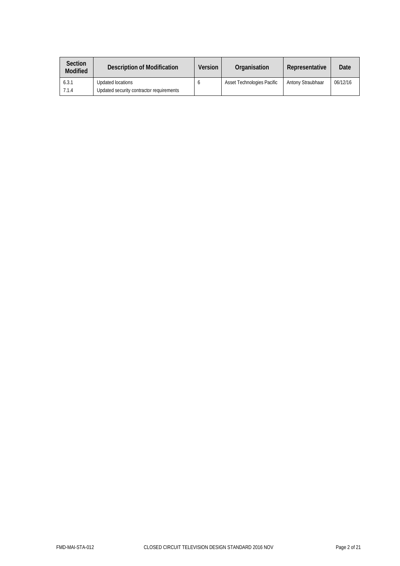| <b>Section</b><br><b>Modified</b> | Description of Modification              | <b>Version</b> | Organisation               | Representative    | Date     |
|-----------------------------------|------------------------------------------|----------------|----------------------------|-------------------|----------|
| 6.3.1                             | Updated locations                        |                | Asset Technologies Pacific | Antony Straubhaar | 06/12/16 |
| 7.1.4                             | Updated security contractor requirements |                |                            |                   |          |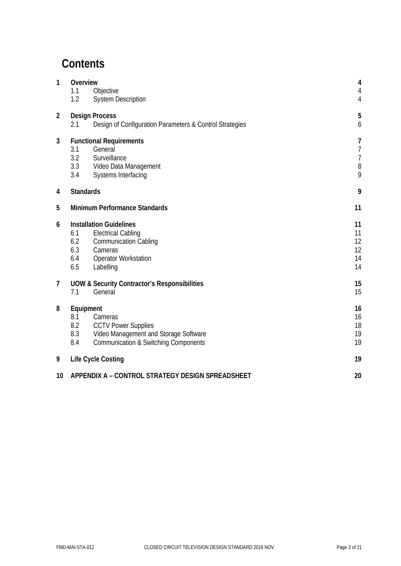# **Contents**

| 1<br>Overview<br>Objective<br>1.1<br><b>System Description</b><br>1.2 |                                                                                                                                                                                       |                                  |  |  |  |  |  |  |
|-----------------------------------------------------------------------|---------------------------------------------------------------------------------------------------------------------------------------------------------------------------------------|----------------------------------|--|--|--|--|--|--|
| $\overline{2}$                                                        | <b>Design Process</b><br>2.1<br>Design of Configuration Parameters & Control Strategies                                                                                               |                                  |  |  |  |  |  |  |
| 3                                                                     | <b>Functional Requirements</b><br>3.1<br>General<br>3.2<br>Surveillance<br>3.3<br>Video Data Management<br>3.4<br>Systems Interfacing                                                 |                                  |  |  |  |  |  |  |
| 4                                                                     | <b>Standards</b>                                                                                                                                                                      | 9                                |  |  |  |  |  |  |
| 5                                                                     | Minimum Performance Standards                                                                                                                                                         | 11                               |  |  |  |  |  |  |
| 6                                                                     | <b>Installation Guidelines</b><br><b>Electrical Cabling</b><br>6.1<br>6.2<br><b>Communication Cabling</b><br>6.3<br>Cameras<br><b>Operator Workstation</b><br>6.4<br>6.5<br>Labelling | 11<br>11<br>12<br>12<br>14<br>14 |  |  |  |  |  |  |
| $\overline{7}$                                                        | <b>UOW &amp; Security Contractor's Responsibilities</b><br>General<br>7.1                                                                                                             | 15<br>15                         |  |  |  |  |  |  |
| 8                                                                     | Equipment<br>8.1<br>Cameras<br><b>CCTV Power Supplies</b><br>8.2<br>8.3<br>Video Management and Storage Software<br><b>Communication &amp; Switching Components</b><br>8.4            | 16<br>16<br>18<br>19<br>19       |  |  |  |  |  |  |
| 9                                                                     | Life Cycle Costing                                                                                                                                                                    | 19                               |  |  |  |  |  |  |
| 10                                                                    | APPENDIX A - CONTROL STRATEGY DESIGN SPREADSHEET                                                                                                                                      | 20                               |  |  |  |  |  |  |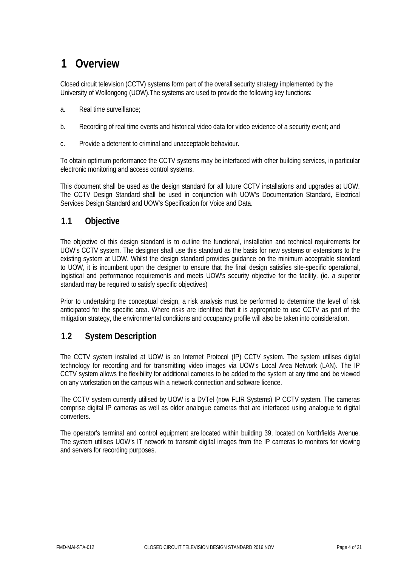# <span id="page-4-0"></span>**1 Overview**

Closed circuit television (CCTV) systems form part of the overall security strategy implemented by the University of Wollongong (UOW).The systems are used to provide the following key functions:

- a. Real time surveillance;
- b. Recording of real time events and historical video data for video evidence of a security event; and
- c. Provide a deterrent to criminal and unacceptable behaviour.

To obtain optimum performance the CCTV systems may be interfaced with other building services, in particular electronic monitoring and access control systems.

This document shall be used as the design standard for all future CCTV installations and upgrades at UOW. The CCTV Design Standard shall be used in conjunction with UOW's Documentation Standard, Electrical Services Design Standard and UOW's Specification for Voice and Data.

### <span id="page-4-1"></span>**1.1 Objective**

The objective of this design standard is to outline the functional, installation and technical requirements for UOW's CCTV system. The designer shall use this standard as the basis for new systems or extensions to the existing system at UOW. Whilst the design standard provides guidance on the minimum acceptable standard to UOW, it is incumbent upon the designer to ensure that the final design satisfies site-specific operational, logistical and performance requirements and meets UOW's security objective for the facility. (ie. a superior standard may be required to satisfy specific objectives)

Prior to undertaking the conceptual design, a risk analysis must be performed to determine the level of risk anticipated for the specific area. Where risks are identified that it is appropriate to use CCTV as part of the mitigation strategy, the environmental conditions and occupancy profile will also be taken into consideration.

### <span id="page-4-2"></span>**1.2 System Description**

The CCTV system installed at UOW is an Internet Protocol (IP) CCTV system. The system utilises digital technology for recording and for transmitting video images via UOW's Local Area Network (LAN). The IP CCTV system allows the flexibility for additional cameras to be added to the system at any time and be viewed on any workstation on the campus with a network connection and software licence.

The CCTV system currently utilised by UOW is a DVTel (now FLIR Systems) IP CCTV system. The cameras comprise digital IP cameras as well as older analogue cameras that are interfaced using analogue to digital converters.

The operator's terminal and control equipment are located within building 39, located on Northfields Avenue. The system utilises UOW's IT network to transmit digital images from the IP cameras to monitors for viewing and servers for recording purposes.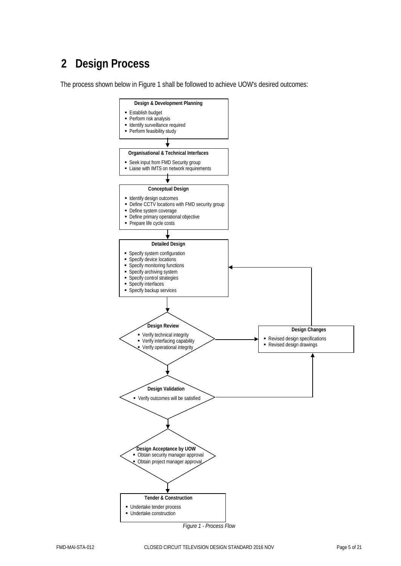# <span id="page-5-0"></span>**2 Design Process**

The process shown below in Figure 1 shall be followed to achieve UOW's desired outcomes:

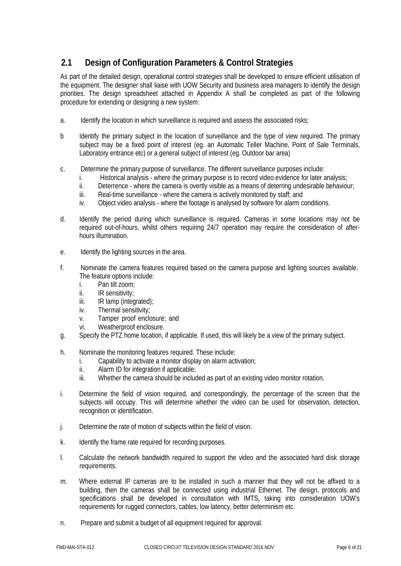# <span id="page-6-0"></span>**2.1 Design of Configuration Parameters & Control Strategies**

As part of the detailed design, operational control strategies shall be developed to ensure efficient utilisation of the equipment. The designer shall liaise with UOW Security and business area managers to identify the design priorities. The design spreadsheet attached in Appendix A shall be completed as part of the following procedure for extending or designing a new system:

- a. Identify the location in which surveillance is required and assess the associated risks;
- b Identify the primary subject in the location of surveillance and the type of view required. The primary subject may be a fixed point of interest (eg. an Automatic Teller Machine, Point of Sale Terminals, Laboratory entrance etc) or a general subject of interest (eg. Outdoor bar area)
- c. Determine the primary purpose of surveillance. The different surveillance purposes include:
	- i. Historical analysis where the primary purpose is to record video evidence for later analysis;
	- ii. Deterrence where the camera is overtly visible as a means of deterring undesirable behaviour;<br>iii. Real-time surveillance where the camera is actively monitored by staff: and
	- Real-time surveillance where the camera is actively monitored by staff; and
	- iv. Object video analysis where the footage is analysed by software for alarm conditions.
- d. Identify the period during which surveillance is required. Cameras in some locations may not be required out-of-hours, whilst others requiring 24/7 operation may require the consideration of afterhours illumination.
- e. Identify the lighting sources in the area.
- f. Nominate the camera features required based on the camera purpose and lighting sources available. The feature options include:
	- i. Pan tilt zoom;
	- ii. IR sensitivity;
	- iii. IR lamp (integrated);
	- iv. Thermal sensitivity;
	- v. Tamper proof enclosure; and
	- vi. Weatherproof enclosure.
- g. Specify the PTZ home location, if applicable. If used, this will likely be a view of the primary subject.
- h. Nominate the monitoring features required. These include:
	- i. Capability to activate a monitor display on alarm activation;
	- ii. Alarm ID for integration if applicable;
	- iii. Whether the camera should be included as part of an existing video monitor rotation.
- i. Determine the field of vision required, and correspondingly, the percentage of the screen that the subjects will occupy. This will determine whether the video can be used for observation, detection, recognition or identification.
- j. Determine the rate of motion of subjects within the field of vision.
- k. Identify the frame rate required for recording purposes.
- l. Calculate the network bandwidth required to support the video and the associated hard disk storage requirements.
- m. Where external IP cameras are to be installed in such a manner that they will not be affixed to a building, then the cameras shall be connected using industrial Ethernet. The design, protocols and specifications shall be developed in consultation with IMTS, taking into consideration UOW's requirements for rugged connectors, cables, low latency, better determinism etc.
- n. Prepare and submit a budget of all equipment required for approval.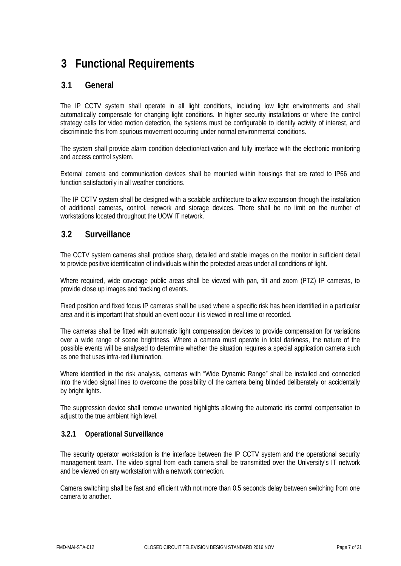# <span id="page-7-0"></span>**3 Functional Requirements**

### <span id="page-7-1"></span>**3.1 General**

The IP CCTV system shall operate in all light conditions, including low light environments and shall automatically compensate for changing light conditions. In higher security installations or where the control strategy calls for video motion detection, the systems must be configurable to identify activity of interest, and discriminate this from spurious movement occurring under normal environmental conditions.

The system shall provide alarm condition detection/activation and fully interface with the electronic monitoring and access control system.

External camera and communication devices shall be mounted within housings that are rated to IP66 and function satisfactorily in all weather conditions.

The IP CCTV system shall be designed with a scalable architecture to allow expansion through the installation of additional cameras, control, network and storage devices. There shall be no limit on the number of workstations located throughout the UOW IT network.

### <span id="page-7-2"></span>**3.2 Surveillance**

The CCTV system cameras shall produce sharp, detailed and stable images on the monitor in sufficient detail to provide positive identification of individuals within the protected areas under all conditions of light.

Where required, wide coverage public areas shall be viewed with pan, tilt and zoom (PTZ) IP cameras, to provide close up images and tracking of events.

Fixed position and fixed focus IP cameras shall be used where a specific risk has been identified in a particular area and it is important that should an event occur it is viewed in real time or recorded.

The cameras shall be fitted with automatic light compensation devices to provide compensation for variations over a wide range of scene brightness. Where a camera must operate in total darkness, the nature of the possible events will be analysed to determine whether the situation requires a special application camera such as one that uses infra-red illumination.

Where identified in the risk analysis, cameras with "Wide Dynamic Range" shall be installed and connected into the video signal lines to overcome the possibility of the camera being blinded deliberately or accidentally by bright lights.

The suppression device shall remove unwanted highlights allowing the automatic iris control compensation to adjust to the true ambient high level.

#### **3.2.1 Operational Surveillance**

The security operator workstation is the interface between the IP CCTV system and the operational security management team. The video signal from each camera shall be transmitted over the University's IT network and be viewed on any workstation with a network connection.

Camera switching shall be fast and efficient with not more than 0.5 seconds delay between switching from one camera to another.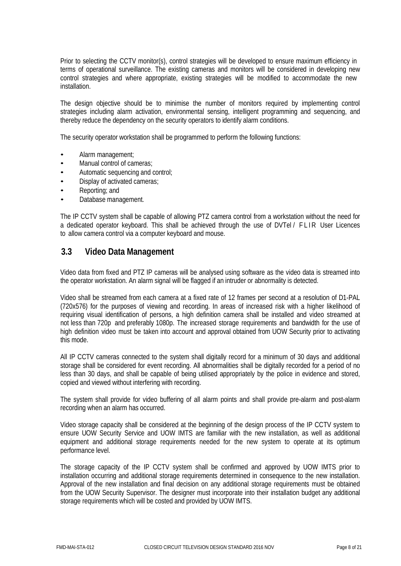Prior to selecting the CCTV monitor(s), control strategies will be developed to ensure maximum efficiency in terms of operational surveillance. The existing cameras and monitors will be considered in developing new control strategies and where appropriate, existing strategies will be modified to accommodate the new installation.

The design objective should be to minimise the number of monitors required by implementing control strategies including alarm activation, environmental sensing, intelligent programming and sequencing, and thereby reduce the dependency on the security operators to identify alarm conditions.

The security operator workstation shall be programmed to perform the following functions:

- Alarm management;
- Manual control of cameras;
- Automatic sequencing and control;
- Display of activated cameras;
- Reporting; and
- Database management.

The IP CCTV system shall be capable of allowing PTZ camera control from a workstation without the need for a dedicated operator keyboard. This shall be achieved through the use of DVTel / FLIR User Licences to allow camera control via a computer keyboard and mouse.

### <span id="page-8-0"></span>**3.3 Video Data Management**

Video data from fixed and PTZ IP cameras will be analysed using software as the video data is streamed into the operator workstation. An alarm signal will be flagged if an intruder or abnormality is detected.

Video shall be streamed from each camera at a fixed rate of 12 frames per second at a resolution of D1-PAL (720x576) for the purposes of viewing and recording. In areas of increased risk with a higher likelihood of requiring visual identification of persons, a high definition camera shall be installed and video streamed at not less than 720p and preferably 1080p. The increased storage requirements and bandwidth for the use of high definition video must be taken into account and approval obtained from UOW Security prior to activating this mode.

All IP CCTV cameras connected to the system shall digitally record for a minimum of 30 days and additional storage shall be considered for event recording. All abnormalities shall be digitally recorded for a period of no less than 30 days, and shall be capable of being utilised appropriately by the police in evidence and stored, copied and viewed without interfering with recording.

The system shall provide for video buffering of all alarm points and shall provide pre-alarm and post-alarm recording when an alarm has occurred.

Video storage capacity shall be considered at the beginning of the design process of the IP CCTV system to ensure UOW Security Service and UOW IMTS are familiar with the new installation, as well as additional equipment and additional storage requirements needed for the new system to operate at its optimum performance level.

The storage capacity of the IP CCTV system shall be confirmed and approved by UOW IMTS prior to installation occurring and additional storage requirements determined in consequence to the new installation. Approval of the new installation and final decision on any additional storage requirements must be obtained from the UOW Security Supervisor. The designer must incorporate into their installation budget any additional storage requirements which will be costed and provided by UOW IMTS.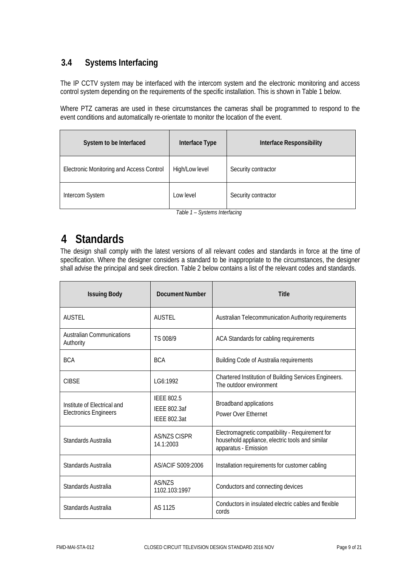# <span id="page-9-0"></span>**3.4 Systems Interfacing**

The IP CCTV system may be interfaced with the intercom system and the electronic monitoring and access control system depending on the requirements of the specific installation. This is shown in Table 1 below.

Where PTZ cameras are used in these circumstances the cameras shall be programmed to respond to the event conditions and automatically re-orientate to monitor the location of the event.

| System to be Interfaced                         | Interface Type | <b>Interface Responsibility</b> |
|-------------------------------------------------|----------------|---------------------------------|
| <b>Electronic Monitoring and Access Control</b> | High/Low level | Security contractor             |
| Intercom System                                 | Low level      | Security contractor             |

*Table 1 – Systems Interfacing*

# <span id="page-9-1"></span>**4 Standards**

The design shall comply with the latest versions of all relevant codes and standards in force at the time of specification. Where the designer considers a standard to be inappropriate to the circumstances, the designer shall advise the principal and seek direction. Table 2 below contains a list of the relevant codes and standards.

| <b>Issuing Body</b>                                         | <b>Document Number</b>                                          | <b>Title</b>                                                                                                               |
|-------------------------------------------------------------|-----------------------------------------------------------------|----------------------------------------------------------------------------------------------------------------------------|
| <b>AUSTEL</b>                                               | <b>AUSTEL</b>                                                   | Australian Telecommunication Authority requirements                                                                        |
| <b>Australian Communications</b><br>Authority               | TS 008/9                                                        | ACA Standards for cabling requirements                                                                                     |
| <b>BCA</b>                                                  | <b>BCA</b>                                                      | <b>Building Code of Australia requirements</b>                                                                             |
| <b>CIBSF</b>                                                | LG6:1992                                                        | Chartered Institution of Building Services Engineers.<br>The outdoor environment                                           |
| Institute of Electrical and<br><b>Electronics Engineers</b> | <b>IEEE 802.5</b><br><b>IEEE 802.3af</b><br><b>IEEE 802.3at</b> | Broadband applications<br>Power Over Ethernet                                                                              |
| Standards Australia                                         | <b>AS/NZS CISPR</b><br>14.1:2003                                | Electromagnetic compatibility - Requirement for<br>household appliance, electric tools and similar<br>apparatus - Emission |
| Standards Australia                                         | AS/ACIF S009:2006                                               | Installation requirements for customer cabling                                                                             |
| Standards Australia                                         | AS/NZS<br>1102.103:1997                                         | Conductors and connecting devices                                                                                          |
| Standards Australia                                         | AS 1125                                                         | Conductors in insulated electric cables and flexible<br>cords                                                              |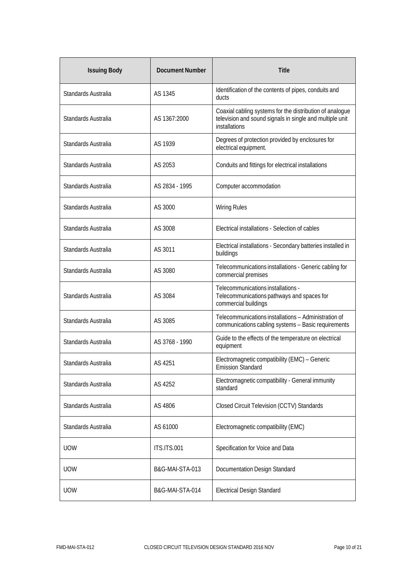| <b>Issuing Body</b> | <b>Document Number</b> | <b>Title</b>                                                                                                                          |  |  |  |  |  |
|---------------------|------------------------|---------------------------------------------------------------------------------------------------------------------------------------|--|--|--|--|--|
| Standards Australia | AS 1345                | Identification of the contents of pipes, conduits and<br>ducts                                                                        |  |  |  |  |  |
| Standards Australia | AS 1367:2000           | Coaxial cabling systems for the distribution of analogue<br>television and sound signals in single and multiple unit<br>installations |  |  |  |  |  |
| Standards Australia | AS 1939                | Degrees of protection provided by enclosures for<br>electrical equipment.                                                             |  |  |  |  |  |
| Standards Australia | AS 2053                | Conduits and fittings for electrical installations                                                                                    |  |  |  |  |  |
| Standards Australia | AS 2834 - 1995         | Computer accommodation                                                                                                                |  |  |  |  |  |
| Standards Australia | AS 3000                | <b>Wiring Rules</b>                                                                                                                   |  |  |  |  |  |
| Standards Australia | AS 3008                | Electrical installations - Selection of cables                                                                                        |  |  |  |  |  |
| Standards Australia | AS 3011                | Electrical installations - Secondary batteries installed in<br>buildings                                                              |  |  |  |  |  |
| Standards Australia | AS 3080                | Telecommunications installations - Generic cabling for<br>commercial premises                                                         |  |  |  |  |  |
| Standards Australia | AS 3084                | Telecommunications installations -<br>Telecommunications pathways and spaces for<br>commercial buildings                              |  |  |  |  |  |
| Standards Australia | AS 3085                | Telecommunications installations - Administration of<br>communications cabling systems - Basic requirements                           |  |  |  |  |  |
| Standards Australia | AS 3768 - 1990         | Guide to the effects of the temperature on electrical<br>equipment                                                                    |  |  |  |  |  |
| Standards Australia | AS 4251                | Electromagnetic compatibility (EMC) - Generic<br><b>Emission Standard</b>                                                             |  |  |  |  |  |
| Standards Australia | AS 4252                | Electromagnetic compatibility - General immunity<br>standard                                                                          |  |  |  |  |  |
| Standards Australia | AS 4806                | Closed Circuit Television (CCTV) Standards                                                                                            |  |  |  |  |  |
| Standards Australia | AS 61000               | Electromagnetic compatibility (EMC)                                                                                                   |  |  |  |  |  |
| <b>UOW</b>          | <b>ITS.ITS.001</b>     | Specification for Voice and Data                                                                                                      |  |  |  |  |  |
| <b>UOW</b>          | B&G-MAI-STA-013        | Documentation Design Standard                                                                                                         |  |  |  |  |  |
| <b>UOW</b>          | B&G-MAI-STA-014        | <b>Electrical Design Standard</b>                                                                                                     |  |  |  |  |  |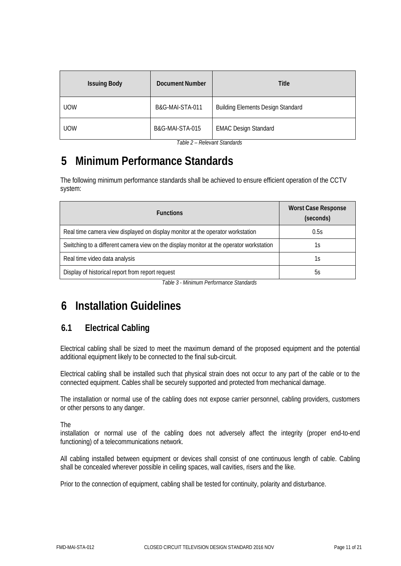| <b>Issuing Body</b> | Document Number | Title                                    |  |  |
|---------------------|-----------------|------------------------------------------|--|--|
| <b>UOW</b>          | B&G-MAI-STA-011 | <b>Building Elements Design Standard</b> |  |  |
| <b>UOW</b>          | B&G-MAI-STA-015 | <b>EMAC Design Standard</b>              |  |  |

*Table 2 – Relevant Standards*

# <span id="page-11-0"></span>**5 Minimum Performance Standards**

The following minimum performance standards shall be achieved to ensure efficient operation of the CCTV system:

| <b>Functions</b>                                                                        | <b>Worst Case Response</b><br>(seconds) |
|-----------------------------------------------------------------------------------------|-----------------------------------------|
| Real time camera view displayed on display monitor at the operator workstation          | 0.5s                                    |
| Switching to a different camera view on the display monitor at the operator workstation | ΊS                                      |
| Real time video data analysis                                                           | 1s                                      |
| Display of historical report from report request                                        | 5s                                      |

*Table 3 - Minimum Performance Standards*

# <span id="page-11-1"></span>**6 Installation Guidelines**

# <span id="page-11-2"></span>**6.1 Electrical Cabling**

Electrical cabling shall be sized to meet the maximum demand of the proposed equipment and the potential additional equipment likely to be connected to the final sub-circuit.

Electrical cabling shall be installed such that physical strain does not occur to any part of the cable or to the connected equipment. Cables shall be securely supported and protected from mechanical damage.

The installation or normal use of the cabling does not expose carrier personnel, cabling providers, customers or other persons to any danger.

The

installation or normal use of the cabling does not adversely affect the integrity (proper end-to-end functioning) of a telecommunications network.

All cabling installed between equipment or devices shall consist of one continuous length of cable. Cabling shall be concealed wherever possible in ceiling spaces, wall cavities, risers and the like.

Prior to the connection of equipment, cabling shall be tested for continuity, polarity and disturbance.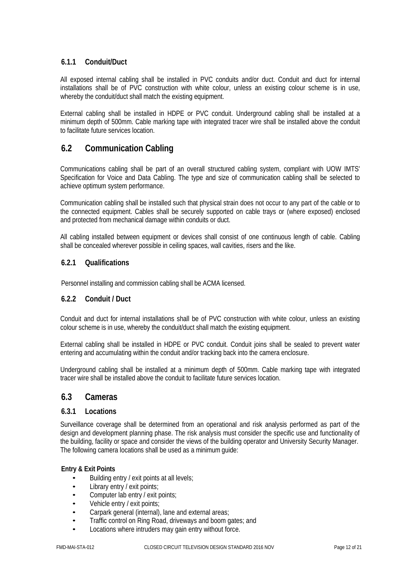#### **6.1.1 Conduit/Duct**

All exposed internal cabling shall be installed in PVC conduits and/or duct. Conduit and duct for internal installations shall be of PVC construction with white colour, unless an existing colour scheme is in use, whereby the conduit/duct shall match the existing equipment.

External cabling shall be installed in HDPE or PVC conduit. Underground cabling shall be installed at a minimum depth of 500mm. Cable marking tape with integrated tracer wire shall be installed above the conduit to facilitate future services location.

# <span id="page-12-0"></span>**6.2 Communication Cabling**

Communications cabling shall be part of an overall structured cabling system, compliant with UOW IMTS' Specification for Voice and Data Cabling. The type and size of communication cabling shall be selected to achieve optimum system performance.

Communication cabling shall be installed such that physical strain does not occur to any part of the cable or to the connected equipment. Cables shall be securely supported on cable trays or (where exposed) enclosed and protected from mechanical damage within conduits or duct.

All cabling installed between equipment or devices shall consist of one continuous length of cable. Cabling shall be concealed wherever possible in ceiling spaces, wall cavities, risers and the like.

#### **6.2.1 Qualifications**

Personnel installing and commission cabling shall be ACMA licensed.

#### **6.2.2 Conduit / Duct**

Conduit and duct for internal installations shall be of PVC construction with white colour, unless an existing colour scheme is in use, whereby the conduit/duct shall match the existing equipment.

External cabling shall be installed in HDPE or PVC conduit. Conduit joins shall be sealed to prevent water entering and accumulating within the conduit and/or tracking back into the camera enclosure.

Underground cabling shall be installed at a minimum depth of 500mm. Cable marking tape with integrated tracer wire shall be installed above the conduit to facilitate future services location.

### <span id="page-12-1"></span>**6.3 Cameras**

#### **6.3.1 Locations**

Surveillance coverage shall be determined from an operational and risk analysis performed as part of the design and development planning phase. The risk analysis must consider the specific use and functionality of the building, facility or space and consider the views of the building operator and University Security Manager. The following camera locations shall be used as a minimum guide:

#### **Entry & Exit Points**

- Building entry / exit points at all levels;
- Library entry / exit points;
- Computer lab entry / exit points;
- Vehicle entry / exit points;
- Carpark general (internal), lane and external areas;
- Traffic control on Ring Road, driveways and boom gates; and
- Locations where intruders may gain entry without force.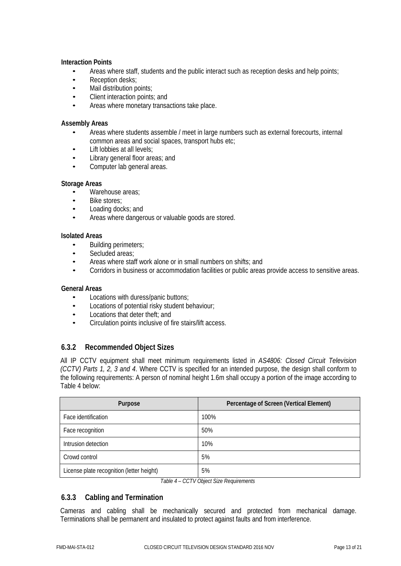#### **Interaction Points**

- Areas where staff, students and the public interact such as reception desks and help points;<br>• Reception desks:
- Reception desks;<br>• Mail distribution n
- Mail distribution points;
- Client interaction points; and
- Areas where monetary transactions take place.

#### **Assembly Areas**

- Areas where students assemble / meet in large numbers such as external forecourts, internal common areas and social spaces, transport hubs etc;
- Lift lobbies at all levels;<br>• Library general floor are
- Library general floor areas; and
- Computer lab general areas.

#### **Storage Areas**

- Warehouse areas;
- Bike stores;<br>• Loading doc
- Loading docks; and
- Areas where dangerous or valuable goods are stored.

#### **Isolated Areas**

- Building perimeters;
- Secluded areas;<br>• Areas where stai
- Areas where staff work alone or in small numbers on shifts; and<br>• Corridors in business or accommodation facilities or public areas
- Corridors in business or accommodation facilities or public areas provide access to sensitive areas.

#### **General Areas**

- Locations with duress/panic buttons;<br>• Locations of potential risky student b
- Locations of potential risky student behaviour;<br>• Locations that deter theft: and
- Locations that deter theft; and
- Circulation points inclusive of fire stairs/lift access.

#### **6.3.2 Recommended Object Sizes**

All IP CCTV equipment shall meet minimum requirements listed in *AS4806: Closed Circuit Television (CCTV) Parts 1, 2, 3 and 4*. Where CCTV is specified for an intended purpose, the design shall conform to the following requirements: A person of nominal height 1.6m shall occupy a portion of the image according to Table 4 below:

| Purpose                                   | Percentage of Screen (Vertical Element) |
|-------------------------------------------|-----------------------------------------|
| Face identification                       | 100%                                    |
| Face recognition                          | 50%                                     |
| Intrusion detection                       | 10%                                     |
| Crowd control                             | 5%                                      |
| License plate recognition (letter height) | 5%                                      |

*Table 4 – CCTV Object Size Requirements*

#### **6.3.3 Cabling and Termination**

Cameras and cabling shall be mechanically secured and protected from mechanical damage. Terminations shall be permanent and insulated to protect against faults and from interference.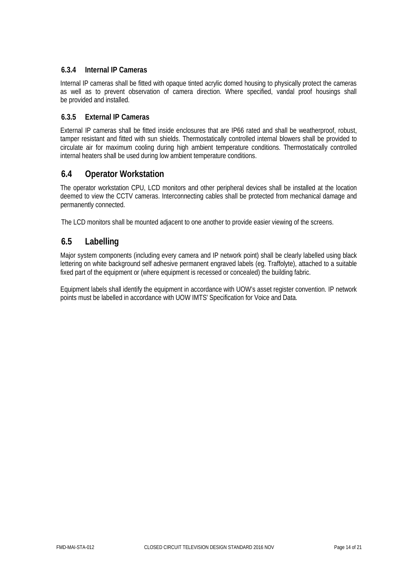#### **6.3.4 Internal IP Cameras**

Internal IP cameras shall be fitted with opaque tinted acrylic domed housing to physically protect the cameras as well as to prevent observation of camera direction. Where specified, vandal proof housings shall be provided and installed.

#### **6.3.5 External IP Cameras**

External IP cameras shall be fitted inside enclosures that are IP66 rated and shall be weatherproof, robust, tamper resistant and fitted with sun shields. Thermostatically controlled internal blowers shall be provided to circulate air for maximum cooling during high ambient temperature conditions. Thermostatically controlled internal heaters shall be used during low ambient temperature conditions.

### <span id="page-14-0"></span>**6.4 Operator Workstation**

The operator workstation CPU, LCD monitors and other peripheral devices shall be installed at the location deemed to view the CCTV cameras. Interconnecting cables shall be protected from mechanical damage and permanently connected.

The LCD monitors shall be mounted adjacent to one another to provide easier viewing of the screens.

### <span id="page-14-1"></span>**6.5 Labelling**

Major system components (including every camera and IP network point) shall be clearly labelled using black lettering on white background self adhesive permanent engraved labels (eg. Traffolyte), attached to a suitable fixed part of the equipment or (where equipment is recessed or concealed) the building fabric.

Equipment labels shall identify the equipment in accordance with UOW's asset register convention. IP network points must be labelled in accordance with UOW IMTS' Specification for Voice and Data.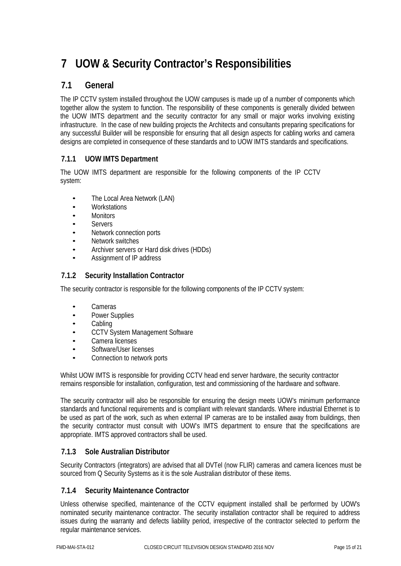# <span id="page-15-0"></span>**7 UOW & Security Contractor's Responsibilities**

### <span id="page-15-1"></span>**7.1 General**

The IP CCTV system installed throughout the UOW campuses is made up of a number of components which together allow the system to function. The responsibility of these components is generally divided between the UOW IMTS department and the security contractor for any small or major works involving existing infrastructure. In the case of new building projects the Architects and consultants preparing specifications for any successful Builder will be responsible for ensuring that all design aspects for cabling works and camera designs are completed in consequence of these standards and to UOW IMTS standards and specifications.

#### **7.1.1 UOW IMTS Department**

The UOW IMTS department are responsible for the following components of the IP CCTV system:

- The Local Area Network (LAN)
- Workstations
- **Monitors**
- **Servers**
- Network connection ports
- Network switches
- Archiver servers or Hard disk drives (HDDs)
- Assignment of IP address

#### **7.1.2 Security Installation Contractor**

The security contractor is responsible for the following components of the IP CCTV system:

- Cameras
- Power Supplies
- Cabling
- CCTV System Management Software
- Camera licenses
- Software/User licenses
- Connection to network ports

Whilst UOW IMTS is responsible for providing CCTV head end server hardware, the security contractor remains responsible for installation, configuration, test and commissioning of the hardware and software.

The security contractor will also be responsible for ensuring the design meets UOW's minimum performance standards and functional requirements and is compliant with relevant standards. Where industrial Ethernet is to be used as part of the work, such as when external IP cameras are to be installed away from buildings, then the security contractor must consult with UOW's IMTS department to ensure that the specifications are appropriate. IMTS approved contractors shall be used.

#### **7.1.3 Sole Australian Distributor**

Security Contractors (integrators) are advised that all DVTel (now FLIR) cameras and camera licences must be sourced from Q Security Systems as it is the sole Australian distributor of these items.

#### **7.1.4 Security Maintenance Contractor**

Unless otherwise specified, maintenance of the CCTV equipment installed shall be performed by UOW's nominated security maintenance contractor. The security installation contractor shall be required to address issues during the warranty and defects liability period, irrespective of the contractor selected to perform the regular maintenance services.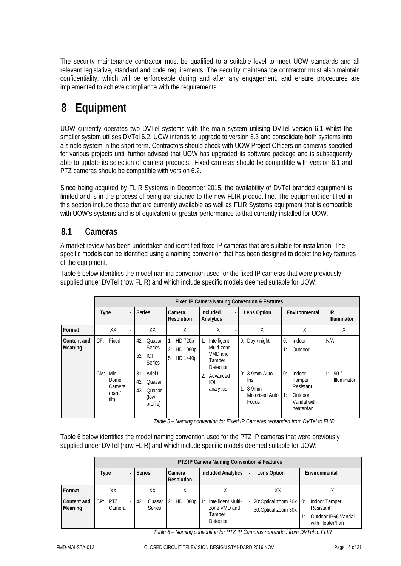The security maintenance contractor must be qualified to a suitable level to meet UOW standards and all relevant legislative, standard and code requirements. The security maintenance contractor must also maintain confidentiality, which will be enforceable during and after any engagement, and ensure procedures are implemented to achieve compliance with the requirements.

# <span id="page-16-0"></span>**8 Equipment**

UOW currently operates two DVTel systems with the main system utilising DVTel version 6.1 whilst the smaller system utilises DVTel 6.2. UOW intends to upgrade to version 6.3 and consolidate both systems into a single system in the short term. Contractors should check with UOW Project Officers on cameras specified for various projects until further advised that UOW has upgraded its software package and is subsequently able to update its selection of camera products. Fixed cameras should be compatible with version 6.1 and PTZ cameras should be compatible with version 6.2.

Since being acquired by FLIR Systems in December 2015, the availability of DVTel branded equipment is limited and is in the process of being transitioned to the new FLIR product line. The equipment identified in this section include those that are currently available as well as FLIR Systems equipment that is compatible with UOW's systems and is of equivalent or greater performance to that currently installed for UOW.

# <span id="page-16-1"></span>**8.1 Cameras**

A market review has been undertaken and identified fixed IP cameras that are suitable for installation. The specific models can be identified using a naming convention that has been designed to depict the key features of the equipment.

Table 5 below identifies the model naming convention used for the fixed IP cameras that were previously supplied under DVTel (now FLIR) and which include specific models deemed suitable for UOW:

|                        | Fixed IP Camera Naming Convention & Features                                                                                        |                                             |   |                                                              |                             |                   |                                           |  |                                                                         |          |                                                                       |           |                    |
|------------------------|-------------------------------------------------------------------------------------------------------------------------------------|---------------------------------------------|---|--------------------------------------------------------------|-----------------------------|-------------------|-------------------------------------------|--|-------------------------------------------------------------------------|----------|-----------------------------------------------------------------------|-----------|--------------------|
|                        | <b>Type</b>                                                                                                                         |                                             | ٠ | <b>Series</b>                                                | Camera<br><b>Resolution</b> |                   | Included<br>Analytics                     |  | Lens Option                                                             |          | Environmental                                                         | <b>IR</b> | <b>Illuminator</b> |
| Format                 |                                                                                                                                     | XX                                          |   | XX                                                           | Χ                           |                   | Χ                                         |  | Χ                                                                       |          | Χ                                                                     |           | X                  |
| Content and<br>Meaning | CF: Fixed<br>HD 720p<br>42: Quasar<br>1:<br><b>Series</b><br>2:<br>HD 1080p<br>52: IOI<br>HD 1440p<br>5:<br>Tamper<br><b>Series</b> | Intelligent<br>Multi-zone<br>VMD and        |   | 0: Day / night                                               | 0:<br>1:                    | Indoor<br>Outdoor | N/A                                       |  |                                                                         |          |                                                                       |           |                    |
|                        | CM:                                                                                                                                 | Mini<br>Dome<br>Camera<br>(pan $/$<br>tilt) |   | 31: Ariel II<br>42: Quasar<br>43: Quasar<br>(low<br>profile) |                             | 2:                | Detection<br>Advanced<br>IOL<br>analytics |  | $0: 3-9$ mm Auto<br><b>Iris</b><br>$1:3-9mm$<br>Motorised Auto<br>Focus | 0:<br>1: | Indoor<br>Tamper<br>Resistant<br>Outdoor<br>Vandal with<br>heater/fan | Ŀ         | 90°<br>Illuminator |

*Table 5 – Naming convention for Fixed IP Cameras rebranded from DVTel to FLIR*

Table 6 below identifies the model naming convention used for the PTZ IP cameras that were previously supplied under DVTel (now FLIR) and which include specific models deemed suitable for UOW:

|                        |                     | PTZ IP Camera Naming Convention & Features |               |                             |                                                                                |  |                                                 |               |                                                                      |  |  |  |  |
|------------------------|---------------------|--------------------------------------------|---------------|-----------------------------|--------------------------------------------------------------------------------|--|-------------------------------------------------|---------------|----------------------------------------------------------------------|--|--|--|--|
| <b>Type</b>            |                     | <b>Series</b>                              |               | Camera<br><b>Resolution</b> | <b>Included Analytics</b>                                                      |  | Lens Option                                     | Environmental |                                                                      |  |  |  |  |
| Format                 | XX                  |                                            | XX            | Χ                           |                                                                                |  | XX                                              |               |                                                                      |  |  |  |  |
| Content and<br>Meaning | $CP:$ PTZ<br>Camera |                                            | <b>Series</b> | 42: Quasar 2: HD 1080p      | Intelligent Multi-<br>$\cdot$ 1:<br>zone VMD and<br>Tamper<br><b>Detection</b> |  | 20: Optical zoom 20x 0:<br>30: Optical zoom 30x |               | Indoor Tamper<br>Resistant<br>Outdoor IP66 Vandal<br>with Heater/Fan |  |  |  |  |

*Table 6 – Naming convention for PTZ IP Cameras rebranded from DVTel to FLIR*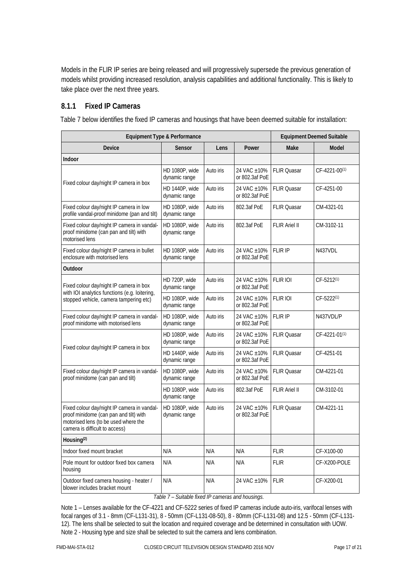Models in the FLIR IP series are being released and will progressively supersede the previous generation of models whilst providing increased resolution, analysis capabilities and additional functionality. This is likely to take place over the next three years.

#### **8.1.1 Fixed IP Cameras**

Table 7 below identifies the fixed IP cameras and housings that have been deemed suitable for installation:

| Equipment Type & Performance                                                                                                                                    | <b>Equipment Deemed Suitable</b> |                                            |                               |                      |                           |
|-----------------------------------------------------------------------------------------------------------------------------------------------------------------|----------------------------------|--------------------------------------------|-------------------------------|----------------------|---------------------------|
| Device                                                                                                                                                          | Sensor                           | Lens                                       | Power                         | Make                 | Model                     |
| Indoor                                                                                                                                                          |                                  |                                            |                               |                      |                           |
|                                                                                                                                                                 | HD 1080P, wide<br>dynamic range  | Auto iris                                  | 24 VAC ±10%<br>or 802.3af PoE | <b>FLIR Quasar</b>   | CF-4221-00 <sup>(1)</sup> |
| Fixed colour day/night IP camera in box                                                                                                                         | HD 1440P, wide<br>dynamic range  | Auto iris                                  | 24 VAC ±10%<br>or 802.3af PoE | <b>FLIR Quasar</b>   | CF-4251-00                |
| Fixed colour day/night IP camera in low<br>profile vandal-proof minidome (pan and tilt)                                                                         | HD 1080P, wide<br>dynamic range  | Auto iris                                  | 802.3af PoE                   | <b>FLIR Quasar</b>   | CM-4321-01                |
| Fixed colour day/night IP camera in vandal-<br>proof minidome (can pan and tilt) with<br>motorised lens                                                         | HD 1080P, wide<br>dynamic range  | Auto iris                                  | 802.3af PoE                   | <b>FLIR Ariel II</b> | CM-3102-11                |
| Fixed colour day/night IP camera in bullet<br>enclosure with motorised lens                                                                                     | HD 1080P, wide<br>dynamic range  | Auto iris                                  | 24 VAC ±10%<br>or 802.3af PoE | <b>FLIR IP</b>       | N437VDL                   |
| Outdoor                                                                                                                                                         |                                  |                                            |                               |                      |                           |
| Fixed colour day/night IP camera in box<br>with IOI analytics functions (e.g. loitering,                                                                        | HD 720P, wide<br>dynamic range   | Auto iris                                  | 24 VAC ±10%<br>or 802.3af PoE | <b>FLIR IOI</b>      | $CF-5212^{(1)}$           |
| stopped vehicle, camera tampering etc)                                                                                                                          | HD 1080P, wide<br>dynamic range  | Auto iris                                  | 24 VAC ±10%<br>or 802.3af PoE | <b>FLIR IOI</b>      | CF-5222 <sup>(1)</sup>    |
| Fixed colour day/night IP camera in vandal-<br>proof minidome with motorised lens                                                                               | HD 1080P, wide<br>dynamic range  | Auto iris                                  | 24 VAC ±10%<br>or 802.3af PoE | <b>FLIR IP</b>       | N437VDL/P                 |
|                                                                                                                                                                 | HD 1080P, wide<br>dynamic range  | Auto iris                                  | 24 VAC ±10%<br>or 802.3af PoE | <b>FLIR Quasar</b>   | CF-4221-01 <sup>(1)</sup> |
| Fixed colour day/night IP camera in box                                                                                                                         | HD 1440P, wide<br>dynamic range  | Auto iris                                  | 24 VAC ±10%<br>or 802.3af PoE | <b>FLIR Quasar</b>   | CF-4251-01                |
| Fixed colour day/night IP camera in vandal-<br>proof minidome (can pan and tilt)                                                                                | HD 1080P, wide<br>dynamic range  | Auto iris                                  | 24 VAC ±10%<br>or 802.3af PoE | <b>FLIR Quasar</b>   | CM-4221-01                |
|                                                                                                                                                                 | HD 1080P, wide<br>dynamic range  | Auto iris                                  | 802.3af PoE                   | <b>FLIR Ariel II</b> | CM-3102-01                |
| Fixed colour day/night IP camera in vandal-<br>proof minidome (can pan and tilt) with<br>motorised lens (to be used where the<br>camera is difficult to access) | HD 1080P, wide<br>dynamic range  | 24 VAC ±10%<br>Auto iris<br>or 802.3af PoE |                               | FLIR Quasar          | CM-4221-11                |
| Housing <sup>(2)</sup>                                                                                                                                          |                                  |                                            |                               |                      |                           |
| Indoor fixed mount bracket                                                                                                                                      | N/A                              | N/A                                        | N/A                           | <b>FLIR</b>          | CF-X100-00                |
| Pole mount for outdoor fixed box camera<br>housing                                                                                                              | N/A                              | N/A                                        | N/A                           | <b>FLIR</b>          | CF-X200-POLE              |
| Outdoor fixed camera housing - heater /<br>blower includes bracket mount                                                                                        | N/A                              | N/A                                        | 24 VAC ±10%                   | <b>FLIR</b>          | CF-X200-01                |

*Table 7 – Suitable fixed IP cameras and housings.*

Note 1 – Lenses available for the CF-4221 and CF-5222 series of fixed IP cameras include auto-iris, varifocal lenses with focal ranges of 3.1 - 8mm (CF-L131-31), 8 - 50mm (CF-L131-08-50), 8 - 80mm (CF-L131-08) and 12.5 - 50mm (CF-L131- 12). The lens shall be selected to suit the location and required coverage and be determined in consultation with UOW. Note 2 - Housing type and size shall be selected to suit the camera and lens combination.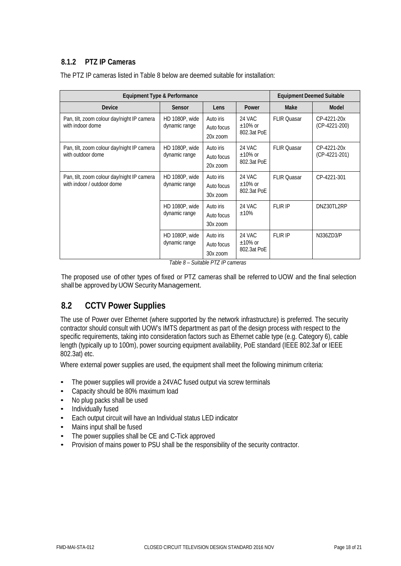#### **8.1.2 PTZ IP Cameras**

| Equipment Type & Performance                                             | <b>Equipment Deemed Suitable</b>                                       |                                       |                                               |                    |                                |  |  |
|--------------------------------------------------------------------------|------------------------------------------------------------------------|---------------------------------------|-----------------------------------------------|--------------------|--------------------------------|--|--|
| <b>Device</b>                                                            | Sensor                                                                 | Lens                                  | Power                                         | Make               | Model                          |  |  |
| Pan, tilt, zoom colour day/night IP camera<br>with indoor dome           | HD 1080P, wide<br>dynamic range                                        | Auto iris<br>Auto focus<br>$20x$ zoom | <b>24 VAC</b><br>$\pm 10\%$ or<br>802.3at PoE | <b>FLIR Quasar</b> | CP-4221-20x<br>$(CP-4221-200)$ |  |  |
| Pan, tilt, zoom colour day/night IP camera<br>with outdoor dome          | HD 1080P, wide<br>Auto iris<br>dynamic range<br>Auto focus<br>20x zoom |                                       | 24 VAC<br>$\pm 10\%$ or<br>802.3at PoE        | <b>FLIR Ouasar</b> | CP-4221-20x<br>(CP-4221-201)   |  |  |
| Pan, tilt, zoom colour day/night IP camera<br>with indoor / outdoor dome | HD 1080P, wide<br>dynamic range                                        | Auto iris<br>Auto focus<br>30x zoom   |                                               | <b>FLIR Quasar</b> | CP-4221-301                    |  |  |
|                                                                          | HD 1080P, wide<br>dynamic range                                        | Auto iris<br>Auto focus<br>30x zoom   | 24 VAC<br>$±10\%$                             | <b>FLIR IP</b>     | DNZ30TL2RP                     |  |  |
|                                                                          | HD 1080P, wide<br>dynamic range                                        | Auto iris<br>Auto focus<br>30x zoom   | <b>24 VAC</b><br>$\pm 10\%$ or<br>802.3at PoE | <b>FLIR IP</b>     | N336ZD3/P                      |  |  |

The PTZ IP cameras listed in Table 8 below are deemed suitable for installation:

*Table 8 – Suitable PTZ IP cameras*

The proposed use of other types of fixed or PTZ cameras shall be referred to UOW and the final selection shall be approved by UOW Security Management.

### <span id="page-18-0"></span>**8.2 CCTV Power Supplies**

The use of Power over Ethernet (where supported by the network infrastructure) is preferred. The security contractor should consult with UOW's IMTS department as part of the design process with respect to the specific requirements, taking into consideration factors such as Ethernet cable type (e.g. Category 6), cable length (typically up to 100m), power sourcing equipment availability, PoE standard (IEEE 802.3af or IEEE 802.3at) etc.

Where external power supplies are used, the equipment shall meet the following minimum criteria:

- The power supplies will provide a 24VAC fused output via screw terminals
- Capacity should be 80% maximum load
- No plug packs shall be used
- Individually fused
- Each output circuit will have an Individual status LED indicator
- Mains input shall be fused
- The power supplies shall be CE and C-Tick approved
- Provision of mains power to PSU shall be the responsibility of the security contractor.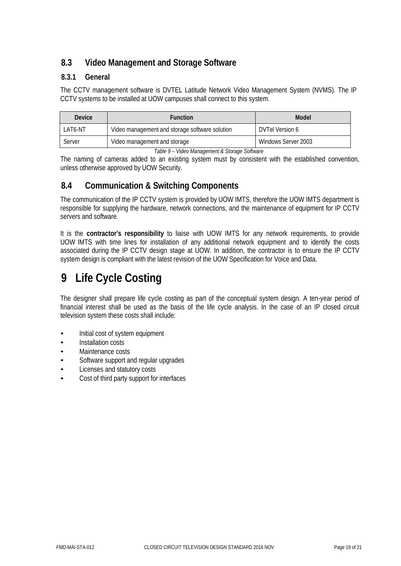# <span id="page-19-0"></span>**8.3 Video Management and Storage Software**

#### **8.3.1 General**

The CCTV management software is DVTEL Latitude Network Video Management System (NVMS). The IP CCTV systems to be installed at UOW campuses shall connect to this system.

| <b>Device</b> | <b>Function</b>                                | Model               |  |  |  |  |
|---------------|------------------------------------------------|---------------------|--|--|--|--|
| LAT6-NT       | Video management and storage software solution | DVTel Version 6     |  |  |  |  |
| Server        | Video management and storage                   | Windows Server 2003 |  |  |  |  |

*Table 9 – Video Management & Storage Software*

The naming of cameras added to an existing system must by consistent with the established convention, unless otherwise approved by UOW Security.

### <span id="page-19-1"></span>**8.4 Communication & Switching Components**

The communication of the IP CCTV system is provided by UOW IMTS, therefore the UOW IMTS department is responsible for supplying the hardware, network connections, and the maintenance of equipment for IP CCTV servers and software.

It is the **contractor's responsibility** to liaise with UOW IMTS for any network requirements, to provide UOW IMTS with time lines for installation of any additional network equipment and to identify the costs associated during the IP CCTV design stage at UOW. In addition, the contractor is to ensure the IP CCTV system design is compliant with the latest revision of the UOW Specification for Voice and Data.

# <span id="page-19-2"></span>**9 Life Cycle Costing**

The designer shall prepare life cycle costing as part of the conceptual system design. A ten-year period of financial interest shall be used as the basis of the life cycle analysis. In the case of an IP closed circuit television system these costs shall include:

- Initial cost of system equipment
- Installation costs
- Maintenance costs
- Software support and regular upgrades
- Licenses and statutory costs
- Cost of third party support for interfaces